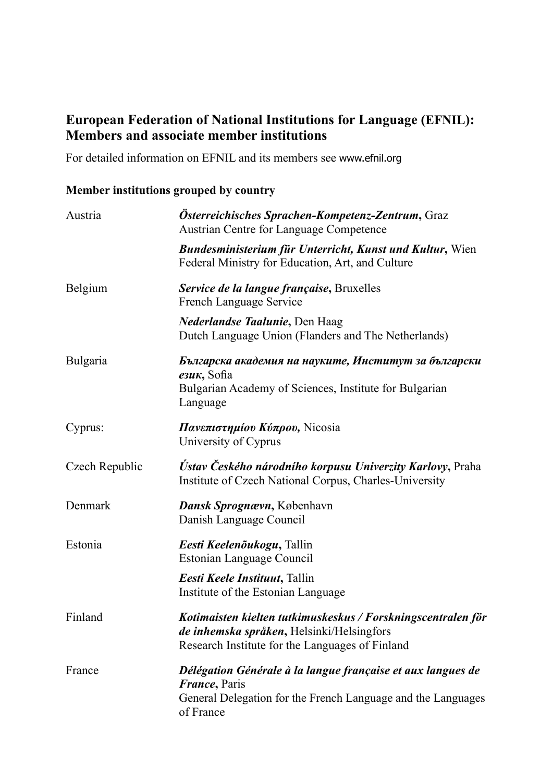## **European Federation of National Institutions for Language (EFNIL): Members and associate member institutions**

For detailed information on EFNIL and its members see www.efnil.org

## **Member institutions grouped by country**

| Austria        | Österreichisches Sprachen-Kompetenz-Zentrum, Graz<br><b>Austrian Centre for Language Competence</b>                                                               |
|----------------|-------------------------------------------------------------------------------------------------------------------------------------------------------------------|
|                | <b>Bundesministerium für Unterricht, Kunst und Kultur, Wien</b><br>Federal Ministry for Education, Art, and Culture                                               |
| Belgium        | Service de la langue française, Bruxelles<br>French Language Service                                                                                              |
|                | Nederlandse Taalunie, Den Haag<br>Dutch Language Union (Flanders and The Netherlands)                                                                             |
| Bulgaria       | Българска академия на науките, Институт за български<br>$e3uK$ , Sofia<br>Bulgarian Academy of Sciences, Institute for Bulgarian<br>Language                      |
| Cyprus:        | Πανεπιστημίου Κύπρου, Nicosia<br>University of Cyprus                                                                                                             |
| Czech Republic | Ústav Českého národního korpusu Univerzity Karlovy, Praha<br>Institute of Czech National Corpus, Charles-University                                               |
| Denmark        | Dansk Sprognævn, København<br>Danish Language Council                                                                                                             |
| Estonia        | Eesti Keelenõukogu, Tallin<br>Estonian Language Council                                                                                                           |
|                | Eesti Keele Instituut, Tallin<br>Institute of the Estonian Language                                                                                               |
| Finland        | Kotimaisten kielten tutkimuskeskus / Forskningscentralen för<br>de inhemska språken, Helsinki/Helsingfors<br>Research Institute for the Languages of Finland      |
| France         | Délégation Générale à la langue française et aux langues de<br><i>France</i> , Paris<br>General Delegation for the French Language and the Languages<br>of France |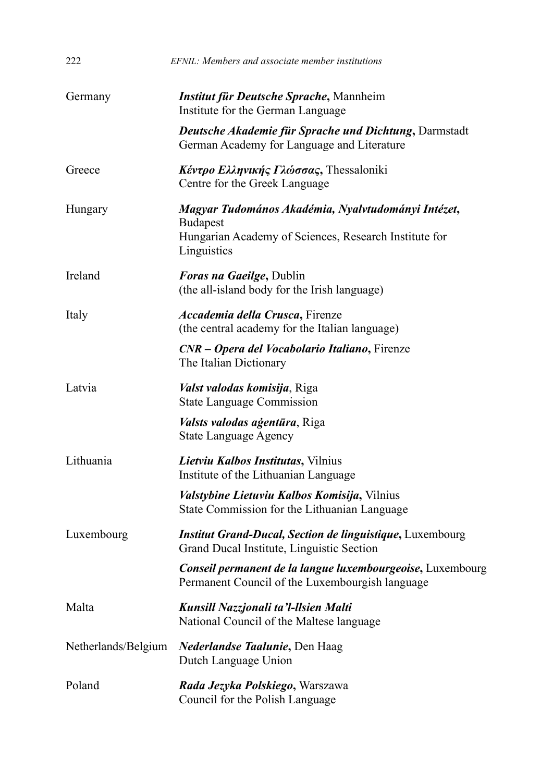| 222                 | EFNIL: Members and associate member institutions                                                                               |
|---------------------|--------------------------------------------------------------------------------------------------------------------------------|
| Germany             | Institut für Deutsche Sprache, Mannheim<br>Institute for the German Language                                                   |
|                     | <b>Deutsche Akademie für Sprache und Dichtung, Darmstadt</b><br>German Academy for Language and Literature                     |
| Greece              | Κέντρο Ελληνικής Γλώσσας, Thessaloniki<br>Centre for the Greek Language                                                        |
| Hungary             | Magyar Tudomános Akadémia, Nyalvtudományi Intézet,<br><b>Budapest</b><br>Hungarian Academy of Sciences, Research Institute for |
|                     | Linguistics                                                                                                                    |
| Ireland             | <b>Foras na Gaeilge, Dublin</b><br>(the all-island body for the Irish language)                                                |
| Italy               | Accademia della Crusca, Firenze<br>(the central academy for the Italian language)                                              |
|                     | CNR - Opera del Vocabolario Italiano, Firenze<br>The Italian Dictionary                                                        |
| Latvia              | Valst valodas komisija, Riga<br><b>State Language Commission</b>                                                               |
|                     | <i>Valsts valodas agentūra</i> , Riga<br><b>State Language Agency</b>                                                          |
| Lithuania           | Lietviu Kalbos Institutas, Vilnius<br>Institute of the Lithuanian Language                                                     |
|                     | Valstybine Lietuviu Kalbos Komisija, Vilnius<br>State Commission for the Lithuanian Language                                   |
| Luxembourg          | <b>Institut Grand-Ducal, Section de linguistique, Luxembourg</b><br>Grand Ducal Institute, Linguistic Section                  |
|                     | Conseil permanent de la langue luxembourgeoise, Luxembourg<br>Permanent Council of the Luxembourgish language                  |
| Malta               | Kunsill Nazzjonali ta'l-llsien Malti<br>National Council of the Maltese language                                               |
| Netherlands/Belgium | <i>Nederlandse Taalunie</i> , Den Haag<br>Dutch Language Union                                                                 |
| Poland              | Rada Jezyka Polskiego, Warszawa<br>Council for the Polish Language                                                             |